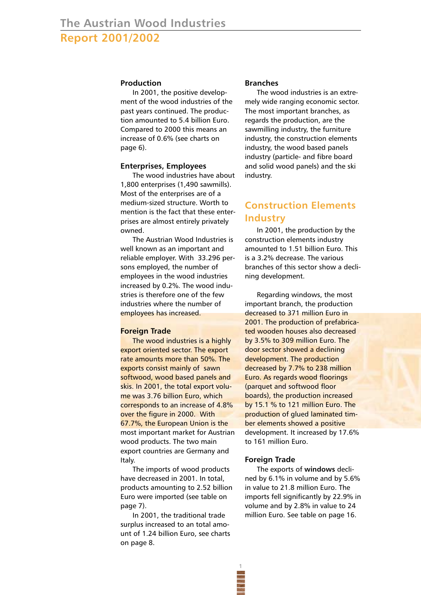## **Production**

In 2001, the positive development of the wood industries of the past years continued. The production amounted to 5.4 billion Euro. Compared to 2000 this means an increase of 0.6% (see charts on page 6).

### **Enterprises, Employees**

The wood industries have about 1,800 enterprises (1,490 sawmills). Most of the enterprises are of a medium-sized structure. Worth to mention is the fact that these enterprises are almost entirely privately owned.

The Austrian Wood Industries is well known as an important and reliable employer. With 33.296 persons employed, the number of employees in the wood industries increased by 0.2%. The wood industries is therefore one of the few industries where the number of employees has increased.

### **Foreign Trade**

The wood industries is a highly export oriented sector. The export rate amounts more than 50%. The exports consist mainly of sawn softwood, wood based panels and skis. In 2001, the total export volume was 3.76 billion Euro, which corresponds to an increase of 4.8% over the figure in 2000. With 67.7%, the European Union is the most important market for Austrian wood products. The two main export countries are Germany and Italy.

The imports of wood products have decreased in 2001. In total, products amounting to 2.52 billion Euro were imported (see table on page 7).

In 2001, the traditional trade surplus increased to an total amount of 1.24 billion Euro, see charts on page 8.

#### **Branches**

The wood industries is an extremely wide ranging economic sector. The most important branches, as regards the production, are the sawmilling industry, the furniture industry, the construction elements industry, the wood based panels industry (particle- and fibre board and solid wood panels) and the ski industry.

# **Construction Elements Industry**

In 2001, the production by the construction elements industry amounted to 1.51 billion Euro. This is a 3.2% decrease. The various branches of this sector show a declining development.

Regarding windows, the most important branch, the production decreased to 371 million Euro in 2001. The production of prefabricated wooden houses also decreased by 3.5% to 309 million Euro. The door sector showed a declining development. The production decreased by 7.7% to 238 million Euro. As regards wood floorings (parquet and softwood floor boards), the production increased by 15.1 % to 121 million Euro. The production of glued laminated timber elements showed a positive development. It increased by 17.6% to 161 million Euro.

#### **Foreign Trade**

**1**

The exports of **windows** declined by 6.1% in volume and by 5.6% in value to 21.8 million Euro. The imports fell significantly by 22.9% in volume and by 2.8% in value to 24 million Euro. See table on page 16.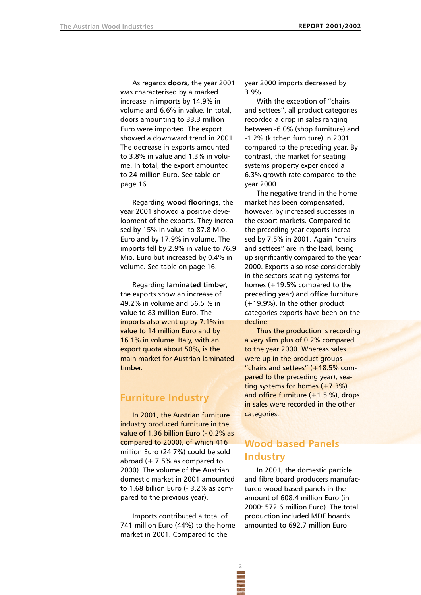As regards **doors**, the year 2001 was characterised by a marked increase in imports by 14.9% in volume and 6.6% in value. In total, doors amounting to 33.3 million Euro were imported. The export showed a downward trend in 2001. The decrease in exports amounted to 3.8% in value and 1.3% in volume. In total, the export amounted to 24 million Euro. See table on page 16.

Regarding **wood floorings**, the year 2001 showed a positive development of the exports. They increased by 15% in value to 87.8 Mio. Euro and by 17.9% in volume. The imports fell by 2.9% in value to 76.9 Mio. Euro but increased by 0.4% in volume. See table on page 16.

Regarding **laminated timber**, the exports show an increase of 49.2% in volume and 56.5 % in value to 83 million Euro. The imports also went up by 7.1% in value to 14 million Euro and by 16.1% in volume. Italy, with an export quota about 50%, is the main market for Austrian laminated timber.

# **Furniture Industry**

In 2001, the Austrian furniture industry produced furniture in the value of 1.36 billion Euro (- 0.2% as compared to 2000), of which 416 million Euro (24.7%) could be sold abroad  $(+ 7.5\%$  as compared to 2000). The volume of the Austrian domestic market in 2001 amounted to 1.68 billion Euro (- 3.2% as compared to the previous year).

Imports contributed a total of 741 million Euro (44%) to the home market in 2001. Compared to the

year 2000 imports decreased by 3.9%.

With the exception of "chairs and settees", all product categories recorded a drop in sales ranging between -6.0% (shop furniture) and -1.2% (kitchen furniture) in 2001 compared to the preceding year. By contrast, the market for seating systems property experienced a 6.3% growth rate compared to the year 2000.

The negative trend in the home market has been compensated, however, by increased successes in the export markets. Compared to the preceding year exports increased by 7.5% in 2001. Again "chairs and settees" are in the lead, being up significantly compared to the year 2000. Exports also rose considerably in the sectors seating systems for homes (+19.5% compared to the preceding year) and office furniture (+19.9%). In the other product categories exports have been on the decline.

Thus the production is recording a very slim plus of 0.2% compared to the year 2000. Whereas sales were up in the product groups "chairs and settees" (+18.5% compared to the preceding year), seating systems for homes  $(+7.3%)$ and office furniture  $(+1.5%)$ , drops in sales were recorded in the other categories.

# **Wood based Panels Industry**

In 2001, the domestic particle and fibre board producers manufactured wood based panels in the amount of 608.4 million Euro (in 2000: 572.6 million Euro). The total production included MDF boards amounted to 692.7 million Euro.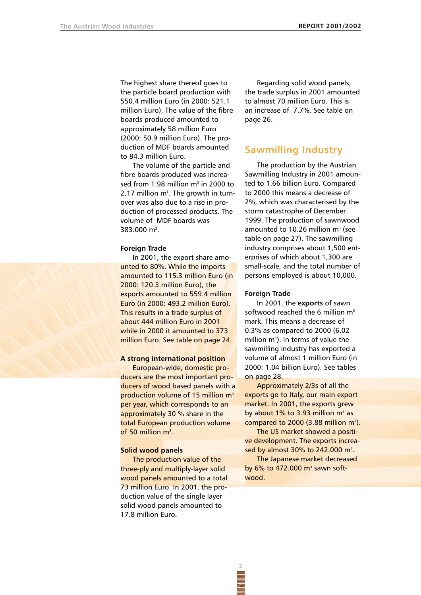The highest share thereof goes to the particle board production with 550.4 million Euro (in 2000: 521.1 million Euro). The value of the fibre boards produced amounted to approximately 58 million Euro (2000: 50.9 million Euro). The production of MDF boards amounted to 84.3 million Euro.

The volume of the particle and fibre boards produced was increased from 1.98 million  $m<sup>3</sup>$  in 2000 to 2.17 million  $m<sup>3</sup>$ . The growth in turnover was also due to a rise in production of processed products. The volume of MDF boards was 383.000 m<sup>3</sup>.

#### **Foreign Trade**

In 2001, the export share amounted to 80%. While the imports amounted to 115.3 million Euro (in 2000: 120.3 million Euro), the exports amounted to 559.4 million Euro (in 2000: 493.2 million Euro). This results in a trade surplus of about 444 million Euro in 2001 while in 2000 it amounted to 373 million Euro. See table on page 24.

### **A strong international position**

European-wide, domestic producers are the most important producers of wood based panels with a production volume of 15 million m<sup>3</sup> per year, which corresponds to an approximately 30 % share in the total European production volume of 50 million m<sup>3</sup>.

#### **Solid wood panels**

The production value of the three-ply and multiply-layer solid wood panels amounted to a total 73 million Euro. In 2001, the production value of the single layer solid wood panels amounted to 17.8 million Euro.

Regarding solid wood panels, the trade surplus in 2001 amounted to almost 70 million Euro. This is an increase of 7.7%. See table on page 26.

# **Sawmilling Industry**

The production by the Austrian Sawmilling Industry in 2001 amounted to 1.66 billion Euro. Compared to 2000 this means a decrease of 2%, which was characterised by the storm catastrophe of December 1999. The production of sawnwood amounted to 10.26 million  $m<sup>3</sup>$  (see table on page 27). The sawmilling industry comprises about 1,500 enterprises of which about 1,300 are small-scale, and the total number of persons employed is about 10,000.

#### **Foreign Trade**

In 2001, the **exports** of sawn softwood reached the 6 million  $m<sup>3</sup>$ mark. This means a decrease of 0.3% as compared to 2000 (6.02 million m<sup>3</sup>). In terms of value the sawmilling industry has exported a volume of almost 1 million Euro (in 2000: 1.04 billion Euro). See tables on page 28.

Approximately 2/3s of all the exports go to Italy, our main export market. In 2001, the exports grew by about 1% to 3.93 million  $m<sup>3</sup>$  as compared to  $2000$  (3.88 million  $m^3$ ).

The US market showed a positive development. The exports increased by almost  $30\%$  to  $242.000$  m<sup>3</sup>.

The Japanese market decreased by  $6\%$  to  $472.000$  m<sup>3</sup> sawn softwood.

**3**